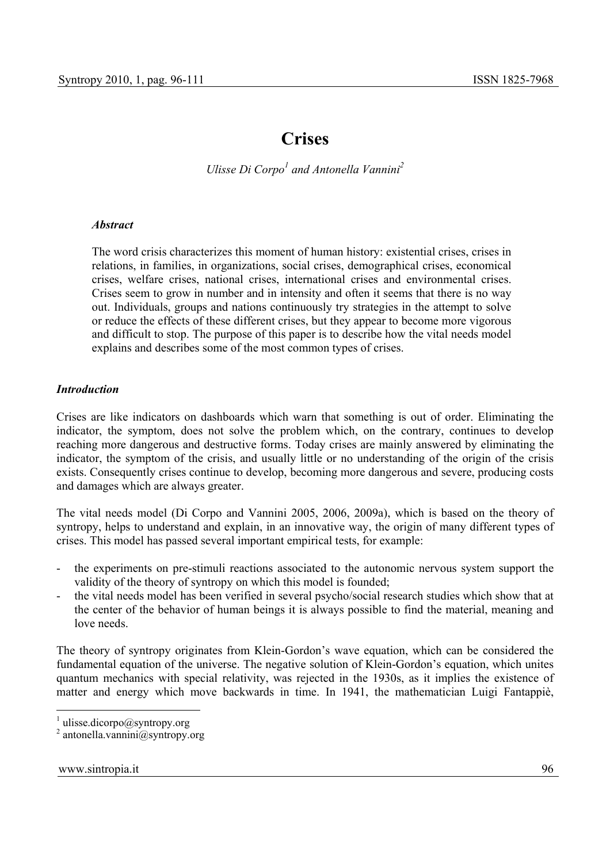# **Crises**

*Ulisse Di Corpo<sup>1</sup> and Antonella Vannini*<sup>2</sup>

## *Abstract*

The word crisis characterizes this moment of human history: existential crises, crises in relations, in families, in organizations, social crises, demographical crises, economical crises, welfare crises, national crises, international crises and environmental crises. Crises seem to grow in number and in intensity and often it seems that there is no way out. Individuals, groups and nations continuously try strategies in the attempt to solve or reduce the effects of these different crises, but they appear to become more vigorous and difficult to stop. The purpose of this paper is to describe how the vital needs model explains and describes some of the most common types of crises.

## *Introduction*

Crises are like indicators on dashboards which warn that something is out of order. Eliminating the indicator, the symptom, does not solve the problem which, on the contrary, continues to develop reaching more dangerous and destructive forms. Today crises are mainly answered by eliminating the indicator, the symptom of the crisis, and usually little or no understanding of the origin of the crisis exists. Consequently crises continue to develop, becoming more dangerous and severe, producing costs and damages which are always greater.

The vital needs model (Di Corpo and Vannini 2005, 2006, 2009a), which is based on the theory of syntropy, helps to understand and explain, in an innovative way, the origin of many different types of crises. This model has passed several important empirical tests, for example:

- the experiments on pre-stimuli reactions associated to the autonomic nervous system support the validity of the theory of syntropy on which this model is founded;
- the vital needs model has been verified in several psycho/social research studies which show that at the center of the behavior of human beings it is always possible to find the material, meaning and love needs.

The theory of syntropy originates from Klein-Gordon's wave equation, which can be considered the fundamental equation of the universe. The negative solution of Klein-Gordon's equation, which unites quantum mechanics with special relativity, was rejected in the 1930s, as it implies the existence of matter and energy which move backwards in time. In 1941, the mathematician Luigi Fantappiè,

 $\frac{1}{1}$  ulisse.dicorpo@syntropy.org

<sup>2</sup> antonella.vannini@syntropy.org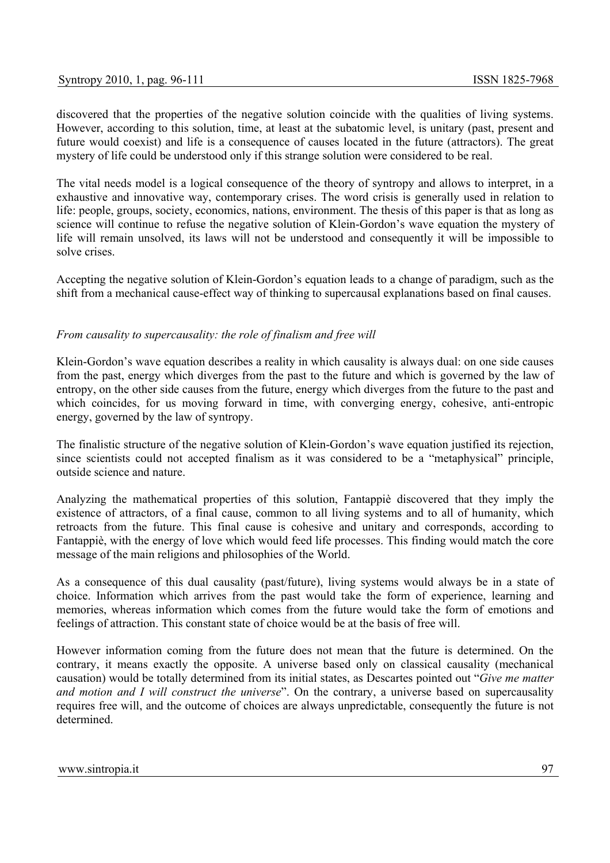discovered that the properties of the negative solution coincide with the qualities of living systems. However, according to this solution, time, at least at the subatomic level, is unitary (past, present and future would coexist) and life is a consequence of causes located in the future (attractors). The great mystery of life could be understood only if this strange solution were considered to be real.

The vital needs model is a logical consequence of the theory of syntropy and allows to interpret, in a exhaustive and innovative way, contemporary crises. The word crisis is generally used in relation to life: people, groups, society, economics, nations, environment. The thesis of this paper is that as long as science will continue to refuse the negative solution of Klein-Gordon's wave equation the mystery of life will remain unsolved, its laws will not be understood and consequently it will be impossible to solve crises.

Accepting the negative solution of Klein-Gordon's equation leads to a change of paradigm, such as the shift from a mechanical cause-effect way of thinking to supercausal explanations based on final causes.

# *From causality to supercausality: the role of finalism and free will*

Klein-Gordon's wave equation describes a reality in which causality is always dual: on one side causes from the past, energy which diverges from the past to the future and which is governed by the law of entropy, on the other side causes from the future, energy which diverges from the future to the past and which coincides, for us moving forward in time, with converging energy, cohesive, anti-entropic energy, governed by the law of syntropy.

The finalistic structure of the negative solution of Klein-Gordon's wave equation justified its rejection, since scientists could not accepted finalism as it was considered to be a "metaphysical" principle, outside science and nature.

Analyzing the mathematical properties of this solution, Fantappiè discovered that they imply the existence of attractors, of a final cause, common to all living systems and to all of humanity, which retroacts from the future. This final cause is cohesive and unitary and corresponds, according to Fantappiè, with the energy of love which would feed life processes. This finding would match the core message of the main religions and philosophies of the World.

As a consequence of this dual causality (past/future), living systems would always be in a state of choice. Information which arrives from the past would take the form of experience, learning and memories, whereas information which comes from the future would take the form of emotions and feelings of attraction. This constant state of choice would be at the basis of free will.

However information coming from the future does not mean that the future is determined. On the contrary, it means exactly the opposite. A universe based only on classical causality (mechanical causation) would be totally determined from its initial states, as Descartes pointed out "*Give me matter and motion and I will construct the universe*". On the contrary, a universe based on supercausality requires free will, and the outcome of choices are always unpredictable, consequently the future is not determined.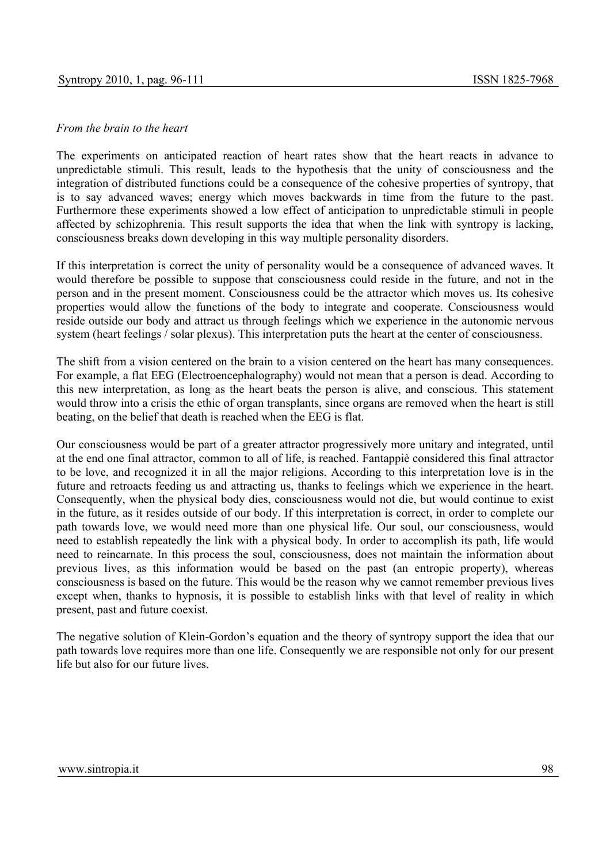## *From the brain to the heart*

The experiments on anticipated reaction of heart rates show that the heart reacts in advance to unpredictable stimuli. This result, leads to the hypothesis that the unity of consciousness and the integration of distributed functions could be a consequence of the cohesive properties of syntropy, that is to say advanced waves; energy which moves backwards in time from the future to the past. Furthermore these experiments showed a low effect of anticipation to unpredictable stimuli in people affected by schizophrenia. This result supports the idea that when the link with syntropy is lacking, consciousness breaks down developing in this way multiple personality disorders.

If this interpretation is correct the unity of personality would be a consequence of advanced waves. It would therefore be possible to suppose that consciousness could reside in the future, and not in the person and in the present moment. Consciousness could be the attractor which moves us. Its cohesive properties would allow the functions of the body to integrate and cooperate. Consciousness would reside outside our body and attract us through feelings which we experience in the autonomic nervous system (heart feelings / solar plexus). This interpretation puts the heart at the center of consciousness.

The shift from a vision centered on the brain to a vision centered on the heart has many consequences. For example, a flat EEG (Electroencephalography) would not mean that a person is dead. According to this new interpretation, as long as the heart beats the person is alive, and conscious. This statement would throw into a crisis the ethic of organ transplants, since organs are removed when the heart is still beating, on the belief that death is reached when the EEG is flat.

Our consciousness would be part of a greater attractor progressively more unitary and integrated, until at the end one final attractor, common to all of life, is reached. Fantappiè considered this final attractor to be love, and recognized it in all the major religions. According to this interpretation love is in the future and retroacts feeding us and attracting us, thanks to feelings which we experience in the heart. Consequently, when the physical body dies, consciousness would not die, but would continue to exist in the future, as it resides outside of our body. If this interpretation is correct, in order to complete our path towards love, we would need more than one physical life. Our soul, our consciousness, would need to establish repeatedly the link with a physical body. In order to accomplish its path, life would need to reincarnate. In this process the soul, consciousness, does not maintain the information about previous lives, as this information would be based on the past (an entropic property), whereas consciousness is based on the future. This would be the reason why we cannot remember previous lives except when, thanks to hypnosis, it is possible to establish links with that level of reality in which present, past and future coexist.

The negative solution of Klein-Gordon's equation and the theory of syntropy support the idea that our path towards love requires more than one life. Consequently we are responsible not only for our present life but also for our future lives.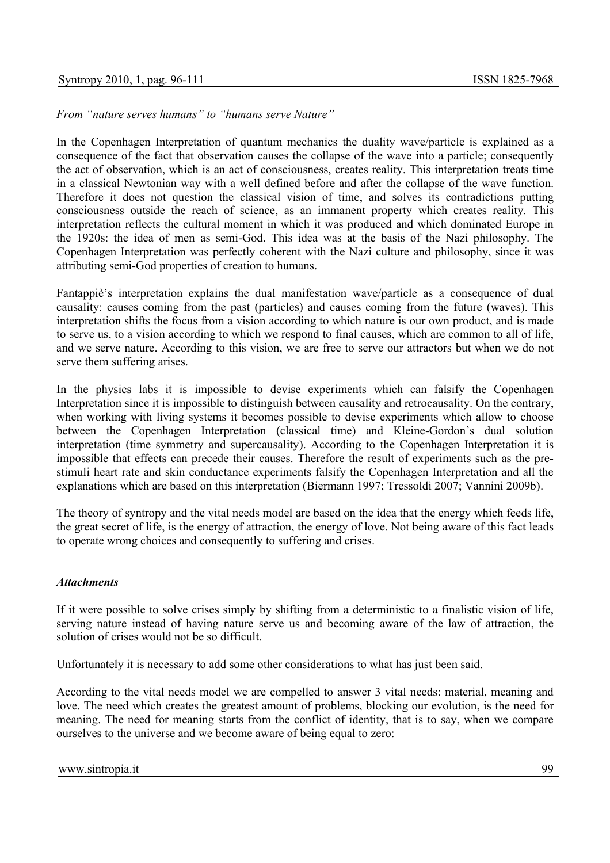*From "nature serves humans" to "humans serve Nature"* 

In the Copenhagen Interpretation of quantum mechanics the duality wave/particle is explained as a consequence of the fact that observation causes the collapse of the wave into a particle; consequently the act of observation, which is an act of consciousness, creates reality. This interpretation treats time in a classical Newtonian way with a well defined before and after the collapse of the wave function. Therefore it does not question the classical vision of time, and solves its contradictions putting consciousness outside the reach of science, as an immanent property which creates reality. This interpretation reflects the cultural moment in which it was produced and which dominated Europe in the 1920s: the idea of men as semi-God. This idea was at the basis of the Nazi philosophy. The Copenhagen Interpretation was perfectly coherent with the Nazi culture and philosophy, since it was attributing semi-God properties of creation to humans.

Fantappiè's interpretation explains the dual manifestation wave/particle as a consequence of dual causality: causes coming from the past (particles) and causes coming from the future (waves). This interpretation shifts the focus from a vision according to which nature is our own product, and is made to serve us, to a vision according to which we respond to final causes, which are common to all of life, and we serve nature. According to this vision, we are free to serve our attractors but when we do not serve them suffering arises.

In the physics labs it is impossible to devise experiments which can falsify the Copenhagen Interpretation since it is impossible to distinguish between causality and retrocausality. On the contrary, when working with living systems it becomes possible to devise experiments which allow to choose between the Copenhagen Interpretation (classical time) and Kleine-Gordon's dual solution interpretation (time symmetry and supercausality). According to the Copenhagen Interpretation it is impossible that effects can precede their causes. Therefore the result of experiments such as the prestimuli heart rate and skin conductance experiments falsify the Copenhagen Interpretation and all the explanations which are based on this interpretation (Biermann 1997; Tressoldi 2007; Vannini 2009b).

The theory of syntropy and the vital needs model are based on the idea that the energy which feeds life, the great secret of life, is the energy of attraction, the energy of love. Not being aware of this fact leads to operate wrong choices and consequently to suffering and crises.

## *Attachments*

If it were possible to solve crises simply by shifting from a deterministic to a finalistic vision of life, serving nature instead of having nature serve us and becoming aware of the law of attraction, the solution of crises would not be so difficult.

Unfortunately it is necessary to add some other considerations to what has just been said.

According to the vital needs model we are compelled to answer 3 vital needs: material, meaning and love. The need which creates the greatest amount of problems, blocking our evolution, is the need for meaning. The need for meaning starts from the conflict of identity, that is to say, when we compare ourselves to the universe and we become aware of being equal to zero: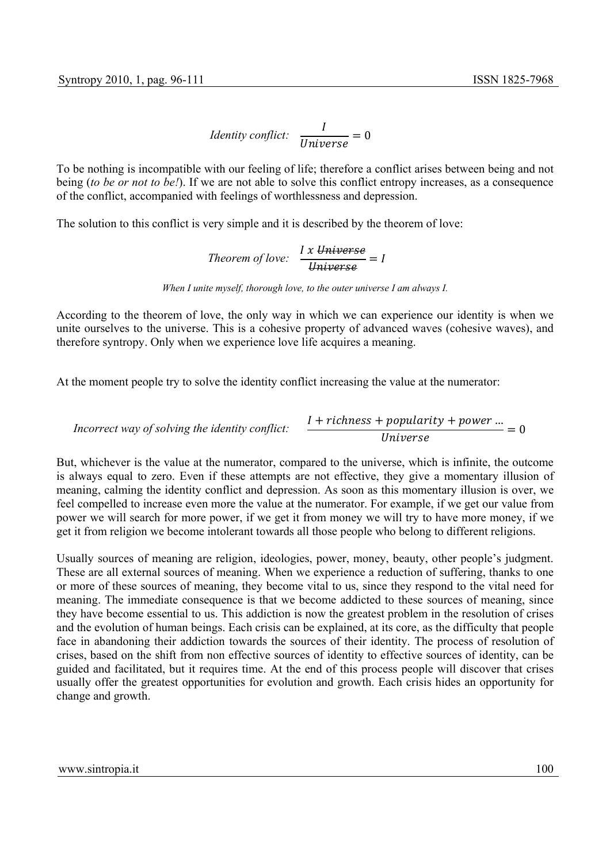Identity conflict: 
$$
\frac{I}{Universe} = 0
$$

To be nothing is incompatible with our feeling of life; therefore a conflict arises between being and not being (*to be or not to be!*). If we are not able to solve this conflict entropy increases, as a consequence of the conflict, accompanied with feelings of worthlessness and depression.

The solution to this conflict is very simple and it is described by the theorem of love:

Theorem of love: 
$$
\frac{I x \text{ Universe}}{University} = I
$$

*When I unite myself, thorough love, to the outer universe I am always I.* 

According to the theorem of love, the only way in which we can experience our identity is when we unite ourselves to the universe. This is a cohesive property of advanced waves (cohesive waves), and therefore syntropy. Only when we experience love life acquires a meaning.

At the moment people try to solve the identity conflict increasing the value at the numerator:

$$
In correct way of solving the identity conflict: \frac{I + richness + popularity + power ...}{Universe} = 0
$$

But, whichever is the value at the numerator, compared to the universe, which is infinite, the outcome is always equal to zero. Even if these attempts are not effective, they give a momentary illusion of meaning, calming the identity conflict and depression. As soon as this momentary illusion is over, we feel compelled to increase even more the value at the numerator. For example, if we get our value from power we will search for more power, if we get it from money we will try to have more money, if we get it from religion we become intolerant towards all those people who belong to different religions.

Usually sources of meaning are religion, ideologies, power, money, beauty, other people's judgment. These are all external sources of meaning. When we experience a reduction of suffering, thanks to one or more of these sources of meaning, they become vital to us, since they respond to the vital need for meaning. The immediate consequence is that we become addicted to these sources of meaning, since they have become essential to us. This addiction is now the greatest problem in the resolution of crises and the evolution of human beings. Each crisis can be explained, at its core, as the difficulty that people face in abandoning their addiction towards the sources of their identity. The process of resolution of crises, based on the shift from non effective sources of identity to effective sources of identity, can be guided and facilitated, but it requires time. At the end of this process people will discover that crises usually offer the greatest opportunities for evolution and growth. Each crisis hides an opportunity for change and growth.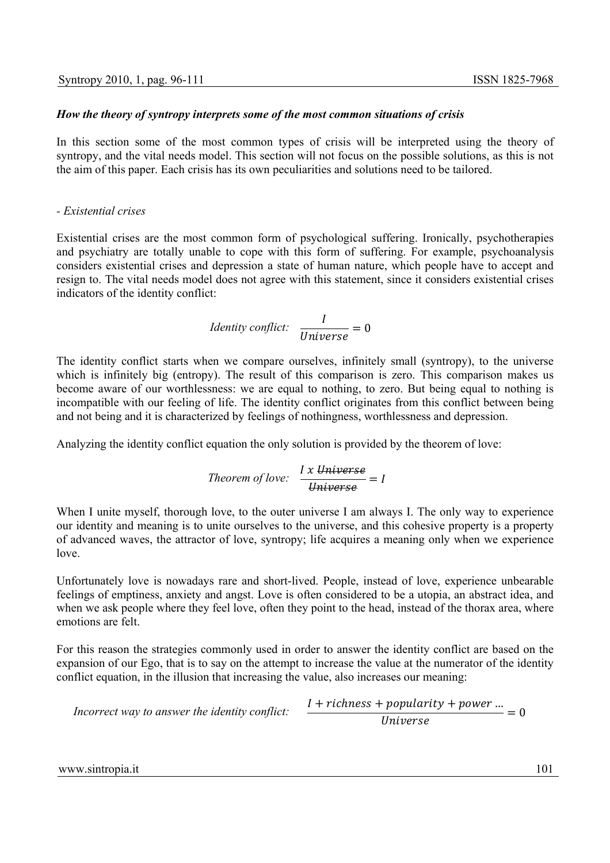## *How the theory of syntropy interprets some of the most common situations of crisis*

In this section some of the most common types of crisis will be interpreted using the theory of syntropy, and the vital needs model. This section will not focus on the possible solutions, as this is not the aim of this paper. Each crisis has its own peculiarities and solutions need to be tailored.

## *- Existential crises*

Existential crises are the most common form of psychological suffering. Ironically, psychotherapies and psychiatry are totally unable to cope with this form of suffering. For example, psychoanalysis considers existential crises and depression a state of human nature, which people have to accept and resign to. The vital needs model does not agree with this statement, since it considers existential crises indicators of the identity conflict:

Identity conflict: 
$$
\frac{I}{Universe} = 0
$$

The identity conflict starts when we compare ourselves, infinitely small (syntropy), to the universe which is infinitely big (entropy). The result of this comparison is zero. This comparison makes us become aware of our worthlessness: we are equal to nothing, to zero. But being equal to nothing is incompatible with our feeling of life. The identity conflict originates from this conflict between being and not being and it is characterized by feelings of nothingness, worthlessness and depression.

Analyzing the identity conflict equation the only solution is provided by the theorem of love:

*Theorem of love:* 
$$
\frac{I x \text{ Universe}}{Universe} = I
$$

When I unite myself, thorough love, to the outer universe I am always I. The only way to experience our identity and meaning is to unite ourselves to the universe, and this cohesive property is a property of advanced waves, the attractor of love, syntropy; life acquires a meaning only when we experience love.

Unfortunately love is nowadays rare and short-lived. People, instead of love, experience unbearable feelings of emptiness, anxiety and angst. Love is often considered to be a utopia, an abstract idea, and when we ask people where they feel love, often they point to the head, instead of the thorax area, where emotions are felt.

For this reason the strategies commonly used in order to answer the identity conflict are based on the expansion of our Ego, that is to say on the attempt to increase the value at the numerator of the identity conflict equation, in the illusion that increasing the value, also increases our meaning:

*Incorrect way to answer the identity conflict:* 
$$
\frac{I + richness + popularity + power ...}{Universe} = 0
$$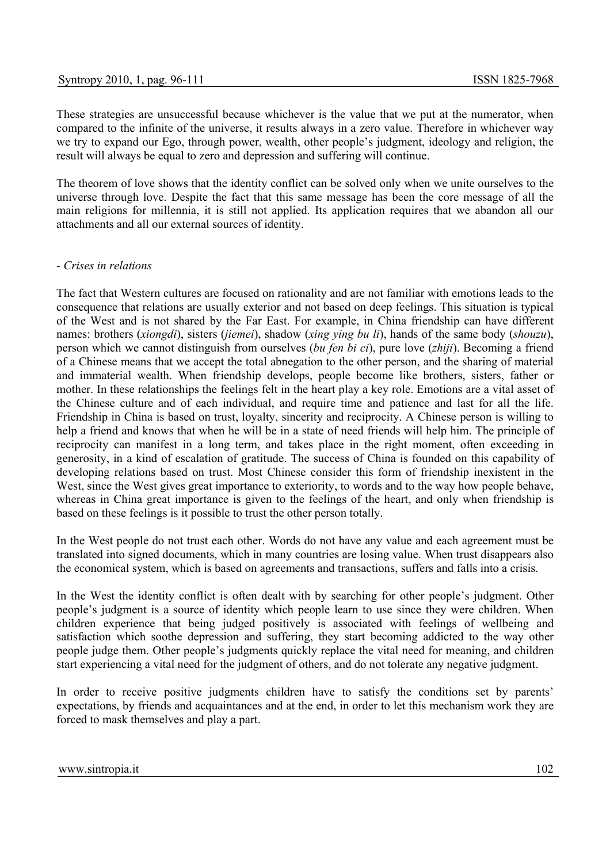These strategies are unsuccessful because whichever is the value that we put at the numerator, when compared to the infinite of the universe, it results always in a zero value. Therefore in whichever way we try to expand our Ego, through power, wealth, other people's judgment, ideology and religion, the result will always be equal to zero and depression and suffering will continue.

The theorem of love shows that the identity conflict can be solved only when we unite ourselves to the universe through love. Despite the fact that this same message has been the core message of all the main religions for millennia, it is still not applied. Its application requires that we abandon all our attachments and all our external sources of identity.

## *- Crises in relations*

The fact that Western cultures are focused on rationality and are not familiar with emotions leads to the consequence that relations are usually exterior and not based on deep feelings. This situation is typical of the West and is not shared by the Far East. For example, in China friendship can have different names: brothers (*xiongdi*), sisters (*jiemei*), shadow (*xing ying bu li*), hands of the same body (*shouzu*), person which we cannot distinguish from ourselves (*bu fen bi ci*), pure love (*zhiji*). Becoming a friend of a Chinese means that we accept the total abnegation to the other person, and the sharing of material and immaterial wealth. When friendship develops, people become like brothers, sisters, father or mother. In these relationships the feelings felt in the heart play a key role. Emotions are a vital asset of the Chinese culture and of each individual, and require time and patience and last for all the life. Friendship in China is based on trust, loyalty, sincerity and reciprocity. A Chinese person is willing to help a friend and knows that when he will be in a state of need friends will help him. The principle of reciprocity can manifest in a long term, and takes place in the right moment, often exceeding in generosity, in a kind of escalation of gratitude. The success of China is founded on this capability of developing relations based on trust. Most Chinese consider this form of friendship inexistent in the West, since the West gives great importance to exteriority, to words and to the way how people behave, whereas in China great importance is given to the feelings of the heart, and only when friendship is based on these feelings is it possible to trust the other person totally.

In the West people do not trust each other. Words do not have any value and each agreement must be translated into signed documents, which in many countries are losing value. When trust disappears also the economical system, which is based on agreements and transactions, suffers and falls into a crisis.

In the West the identity conflict is often dealt with by searching for other people's judgment. Other people's judgment is a source of identity which people learn to use since they were children. When children experience that being judged positively is associated with feelings of wellbeing and satisfaction which soothe depression and suffering, they start becoming addicted to the way other people judge them. Other people's judgments quickly replace the vital need for meaning, and children start experiencing a vital need for the judgment of others, and do not tolerate any negative judgment.

In order to receive positive judgments children have to satisfy the conditions set by parents' expectations, by friends and acquaintances and at the end, in order to let this mechanism work they are forced to mask themselves and play a part.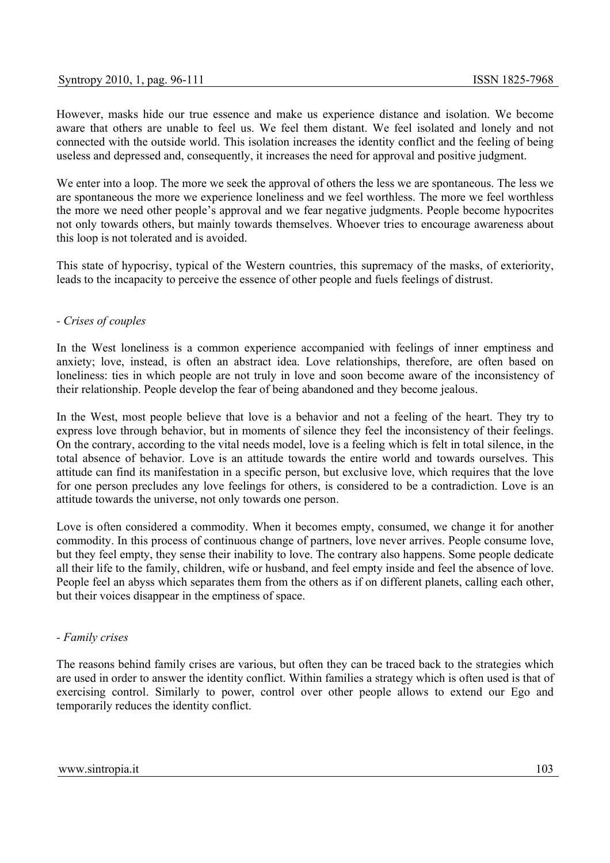However, masks hide our true essence and make us experience distance and isolation. We become aware that others are unable to feel us. We feel them distant. We feel isolated and lonely and not connected with the outside world. This isolation increases the identity conflict and the feeling of being useless and depressed and, consequently, it increases the need for approval and positive judgment.

We enter into a loop. The more we seek the approval of others the less we are spontaneous. The less we are spontaneous the more we experience loneliness and we feel worthless. The more we feel worthless the more we need other people's approval and we fear negative judgments. People become hypocrites not only towards others, but mainly towards themselves. Whoever tries to encourage awareness about this loop is not tolerated and is avoided.

This state of hypocrisy, typical of the Western countries, this supremacy of the masks, of exteriority, leads to the incapacity to perceive the essence of other people and fuels feelings of distrust.

## *- Crises of couples*

In the West loneliness is a common experience accompanied with feelings of inner emptiness and anxiety; love, instead, is often an abstract idea. Love relationships, therefore, are often based on loneliness: ties in which people are not truly in love and soon become aware of the inconsistency of their relationship. People develop the fear of being abandoned and they become jealous.

In the West, most people believe that love is a behavior and not a feeling of the heart. They try to express love through behavior, but in moments of silence they feel the inconsistency of their feelings. On the contrary, according to the vital needs model, love is a feeling which is felt in total silence, in the total absence of behavior. Love is an attitude towards the entire world and towards ourselves. This attitude can find its manifestation in a specific person, but exclusive love, which requires that the love for one person precludes any love feelings for others, is considered to be a contradiction. Love is an attitude towards the universe, not only towards one person.

Love is often considered a commodity. When it becomes empty, consumed, we change it for another commodity. In this process of continuous change of partners, love never arrives. People consume love, but they feel empty, they sense their inability to love. The contrary also happens. Some people dedicate all their life to the family, children, wife or husband, and feel empty inside and feel the absence of love. People feel an abyss which separates them from the others as if on different planets, calling each other, but their voices disappear in the emptiness of space.

#### *- Family crises*

The reasons behind family crises are various, but often they can be traced back to the strategies which are used in order to answer the identity conflict. Within families a strategy which is often used is that of exercising control. Similarly to power, control over other people allows to extend our Ego and temporarily reduces the identity conflict.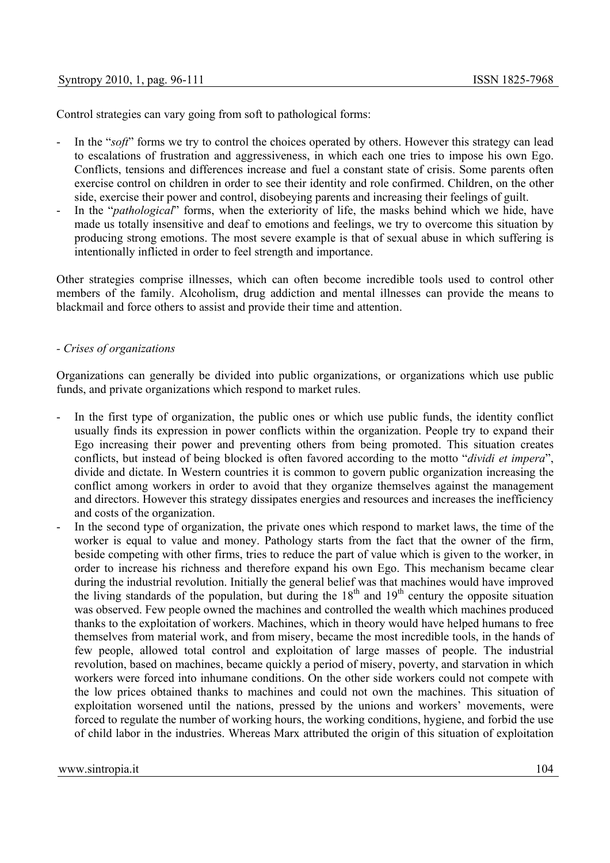Control strategies can vary going from soft to pathological forms:

- In the "*soft*" forms we try to control the choices operated by others. However this strategy can lead to escalations of frustration and aggressiveness, in which each one tries to impose his own Ego. Conflicts, tensions and differences increase and fuel a constant state of crisis. Some parents often exercise control on children in order to see their identity and role confirmed. Children, on the other side, exercise their power and control, disobeying parents and increasing their feelings of guilt.
- In the "*pathological*" forms, when the exteriority of life, the masks behind which we hide, have made us totally insensitive and deaf to emotions and feelings, we try to overcome this situation by producing strong emotions. The most severe example is that of sexual abuse in which suffering is intentionally inflicted in order to feel strength and importance.

Other strategies comprise illnesses, which can often become incredible tools used to control other members of the family. Alcoholism, drug addiction and mental illnesses can provide the means to blackmail and force others to assist and provide their time and attention.

## *- Crises of organizations*

Organizations can generally be divided into public organizations, or organizations which use public funds, and private organizations which respond to market rules.

- In the first type of organization, the public ones or which use public funds, the identity conflict usually finds its expression in power conflicts within the organization. People try to expand their Ego increasing their power and preventing others from being promoted. This situation creates conflicts, but instead of being blocked is often favored according to the motto "*dividi et impera*", divide and dictate. In Western countries it is common to govern public organization increasing the conflict among workers in order to avoid that they organize themselves against the management and directors. However this strategy dissipates energies and resources and increases the inefficiency and costs of the organization.
- In the second type of organization, the private ones which respond to market laws, the time of the worker is equal to value and money. Pathology starts from the fact that the owner of the firm, beside competing with other firms, tries to reduce the part of value which is given to the worker, in order to increase his richness and therefore expand his own Ego. This mechanism became clear during the industrial revolution. Initially the general belief was that machines would have improved the living standards of the population, but during the 18<sup>th</sup> and 19<sup>th</sup> century the opposite situation was observed. Few people owned the machines and controlled the wealth which machines produced thanks to the exploitation of workers. Machines, which in theory would have helped humans to free themselves from material work, and from misery, became the most incredible tools, in the hands of few people, allowed total control and exploitation of large masses of people. The industrial revolution, based on machines, became quickly a period of misery, poverty, and starvation in which workers were forced into inhumane conditions. On the other side workers could not compete with the low prices obtained thanks to machines and could not own the machines. This situation of exploitation worsened until the nations, pressed by the unions and workers' movements, were forced to regulate the number of working hours, the working conditions, hygiene, and forbid the use of child labor in the industries. Whereas Marx attributed the origin of this situation of exploitation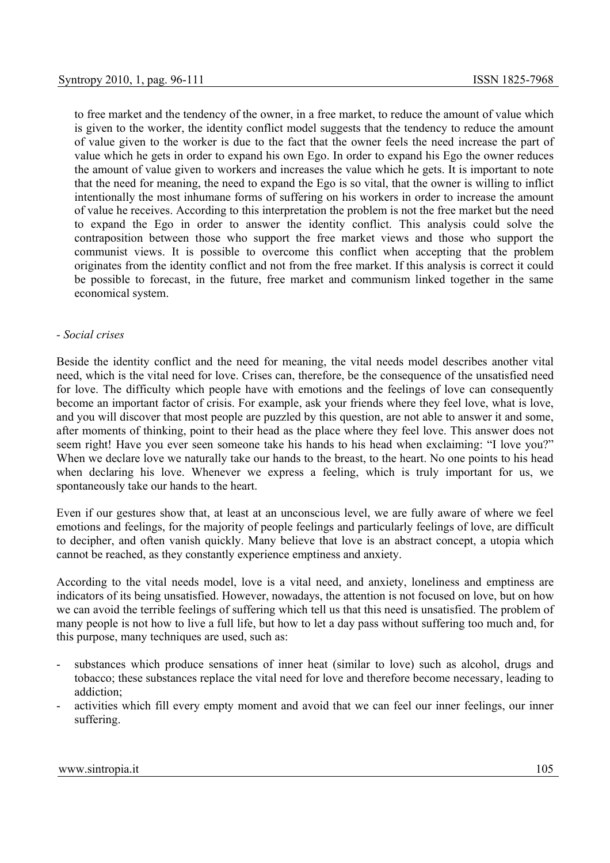to free market and the tendency of the owner, in a free market, to reduce the amount of value which is given to the worker, the identity conflict model suggests that the tendency to reduce the amount of value given to the worker is due to the fact that the owner feels the need increase the part of value which he gets in order to expand his own Ego. In order to expand his Ego the owner reduces the amount of value given to workers and increases the value which he gets. It is important to note that the need for meaning, the need to expand the Ego is so vital, that the owner is willing to inflict intentionally the most inhumane forms of suffering on his workers in order to increase the amount of value he receives. According to this interpretation the problem is not the free market but the need to expand the Ego in order to answer the identity conflict. This analysis could solve the contraposition between those who support the free market views and those who support the communist views. It is possible to overcome this conflict when accepting that the problem originates from the identity conflict and not from the free market. If this analysis is correct it could be possible to forecast, in the future, free market and communism linked together in the same economical system.

## *- Social crises*

Beside the identity conflict and the need for meaning, the vital needs model describes another vital need, which is the vital need for love. Crises can, therefore, be the consequence of the unsatisfied need for love. The difficulty which people have with emotions and the feelings of love can consequently become an important factor of crisis. For example, ask your friends where they feel love, what is love, and you will discover that most people are puzzled by this question, are not able to answer it and some, after moments of thinking, point to their head as the place where they feel love. This answer does not seem right! Have you ever seen someone take his hands to his head when exclaiming: "I love you?" When we declare love we naturally take our hands to the breast, to the heart. No one points to his head when declaring his love. Whenever we express a feeling, which is truly important for us, we spontaneously take our hands to the heart.

Even if our gestures show that, at least at an unconscious level, we are fully aware of where we feel emotions and feelings, for the majority of people feelings and particularly feelings of love, are difficult to decipher, and often vanish quickly. Many believe that love is an abstract concept, a utopia which cannot be reached, as they constantly experience emptiness and anxiety.

According to the vital needs model, love is a vital need, and anxiety, loneliness and emptiness are indicators of its being unsatisfied. However, nowadays, the attention is not focused on love, but on how we can avoid the terrible feelings of suffering which tell us that this need is unsatisfied. The problem of many people is not how to live a full life, but how to let a day pass without suffering too much and, for this purpose, many techniques are used, such as:

- substances which produce sensations of inner heat (similar to love) such as alcohol, drugs and tobacco; these substances replace the vital need for love and therefore become necessary, leading to addiction;
- activities which fill every empty moment and avoid that we can feel our inner feelings, our inner suffering.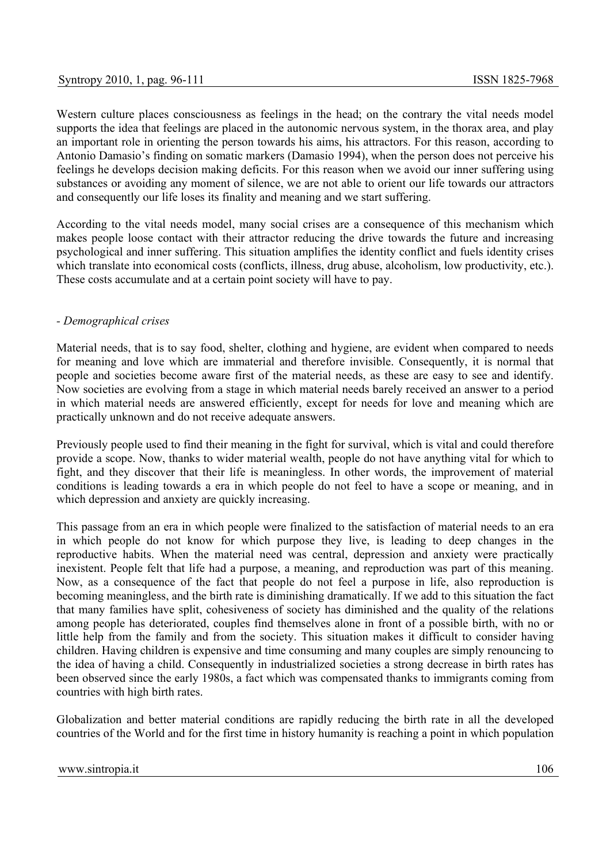Western culture places consciousness as feelings in the head; on the contrary the vital needs model supports the idea that feelings are placed in the autonomic nervous system, in the thorax area, and play an important role in orienting the person towards his aims, his attractors. For this reason, according to Antonio Damasio's finding on somatic markers (Damasio 1994), when the person does not perceive his feelings he develops decision making deficits. For this reason when we avoid our inner suffering using substances or avoiding any moment of silence, we are not able to orient our life towards our attractors and consequently our life loses its finality and meaning and we start suffering.

According to the vital needs model, many social crises are a consequence of this mechanism which makes people loose contact with their attractor reducing the drive towards the future and increasing psychological and inner suffering. This situation amplifies the identity conflict and fuels identity crises which translate into economical costs (conflicts, illness, drug abuse, alcoholism, low productivity, etc.). These costs accumulate and at a certain point society will have to pay.

# *- Demographical crises*

Material needs, that is to say food, shelter, clothing and hygiene, are evident when compared to needs for meaning and love which are immaterial and therefore invisible. Consequently, it is normal that people and societies become aware first of the material needs, as these are easy to see and identify. Now societies are evolving from a stage in which material needs barely received an answer to a period in which material needs are answered efficiently, except for needs for love and meaning which are practically unknown and do not receive adequate answers.

Previously people used to find their meaning in the fight for survival, which is vital and could therefore provide a scope. Now, thanks to wider material wealth, people do not have anything vital for which to fight, and they discover that their life is meaningless. In other words, the improvement of material conditions is leading towards a era in which people do not feel to have a scope or meaning, and in which depression and anxiety are quickly increasing.

This passage from an era in which people were finalized to the satisfaction of material needs to an era in which people do not know for which purpose they live, is leading to deep changes in the reproductive habits. When the material need was central, depression and anxiety were practically inexistent. People felt that life had a purpose, a meaning, and reproduction was part of this meaning. Now, as a consequence of the fact that people do not feel a purpose in life, also reproduction is becoming meaningless, and the birth rate is diminishing dramatically. If we add to this situation the fact that many families have split, cohesiveness of society has diminished and the quality of the relations among people has deteriorated, couples find themselves alone in front of a possible birth, with no or little help from the family and from the society. This situation makes it difficult to consider having children. Having children is expensive and time consuming and many couples are simply renouncing to the idea of having a child. Consequently in industrialized societies a strong decrease in birth rates has been observed since the early 1980s, a fact which was compensated thanks to immigrants coming from countries with high birth rates.

Globalization and better material conditions are rapidly reducing the birth rate in all the developed countries of the World and for the first time in history humanity is reaching a point in which population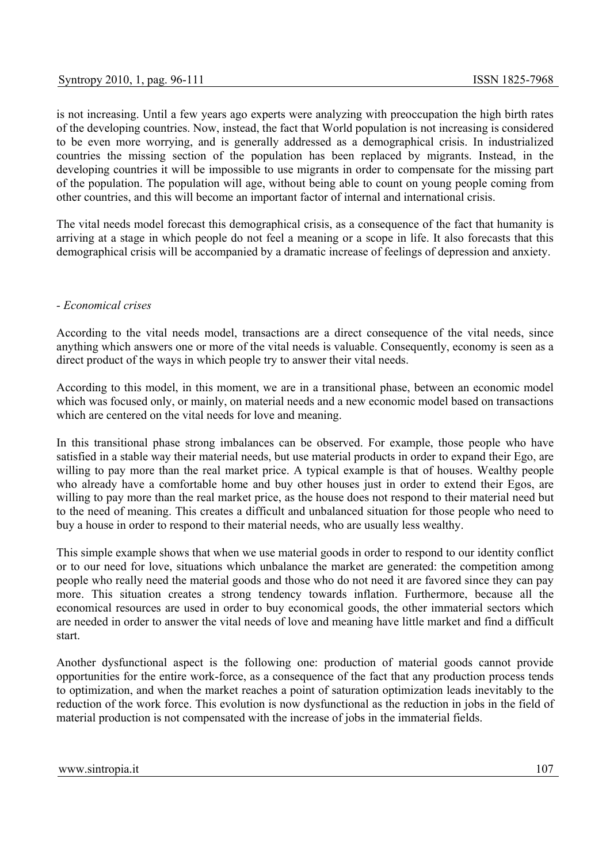is not increasing. Until a few years ago experts were analyzing with preoccupation the high birth rates of the developing countries. Now, instead, the fact that World population is not increasing is considered to be even more worrying, and is generally addressed as a demographical crisis. In industrialized countries the missing section of the population has been replaced by migrants. Instead, in the developing countries it will be impossible to use migrants in order to compensate for the missing part of the population. The population will age, without being able to count on young people coming from other countries, and this will become an important factor of internal and international crisis.

The vital needs model forecast this demographical crisis, as a consequence of the fact that humanity is arriving at a stage in which people do not feel a meaning or a scope in life. It also forecasts that this demographical crisis will be accompanied by a dramatic increase of feelings of depression and anxiety.

# *- Economical crises*

According to the vital needs model, transactions are a direct consequence of the vital needs, since anything which answers one or more of the vital needs is valuable. Consequently, economy is seen as a direct product of the ways in which people try to answer their vital needs.

According to this model, in this moment, we are in a transitional phase, between an economic model which was focused only, or mainly, on material needs and a new economic model based on transactions which are centered on the vital needs for love and meaning.

In this transitional phase strong imbalances can be observed. For example, those people who have satisfied in a stable way their material needs, but use material products in order to expand their Ego, are willing to pay more than the real market price. A typical example is that of houses. Wealthy people who already have a comfortable home and buy other houses just in order to extend their Egos, are willing to pay more than the real market price, as the house does not respond to their material need but to the need of meaning. This creates a difficult and unbalanced situation for those people who need to buy a house in order to respond to their material needs, who are usually less wealthy.

This simple example shows that when we use material goods in order to respond to our identity conflict or to our need for love, situations which unbalance the market are generated: the competition among people who really need the material goods and those who do not need it are favored since they can pay more. This situation creates a strong tendency towards inflation. Furthermore, because all the economical resources are used in order to buy economical goods, the other immaterial sectors which are needed in order to answer the vital needs of love and meaning have little market and find a difficult start.

Another dysfunctional aspect is the following one: production of material goods cannot provide opportunities for the entire work-force, as a consequence of the fact that any production process tends to optimization, and when the market reaches a point of saturation optimization leads inevitably to the reduction of the work force. This evolution is now dysfunctional as the reduction in jobs in the field of material production is not compensated with the increase of jobs in the immaterial fields.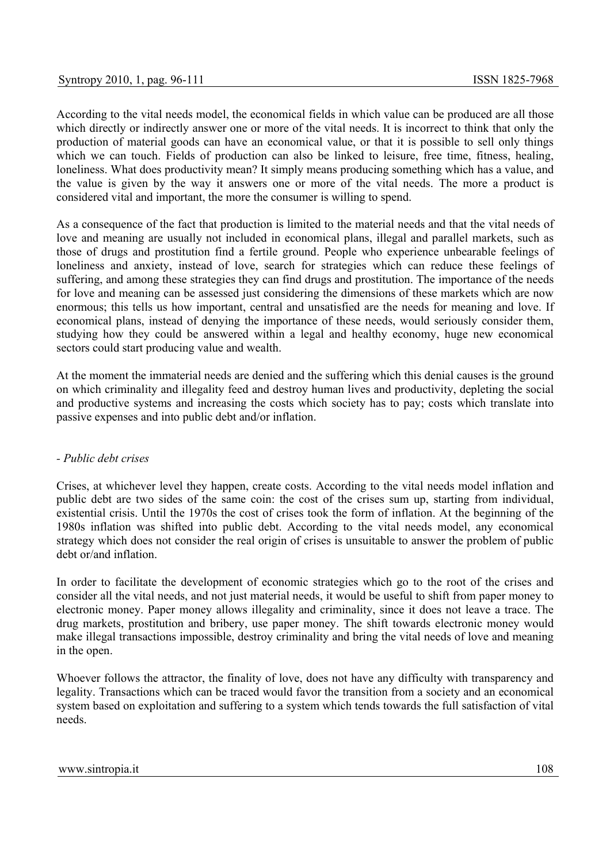According to the vital needs model, the economical fields in which value can be produced are all those which directly or indirectly answer one or more of the vital needs. It is incorrect to think that only the production of material goods can have an economical value, or that it is possible to sell only things which we can touch. Fields of production can also be linked to leisure, free time, fitness, healing, loneliness. What does productivity mean? It simply means producing something which has a value, and the value is given by the way it answers one or more of the vital needs. The more a product is considered vital and important, the more the consumer is willing to spend.

As a consequence of the fact that production is limited to the material needs and that the vital needs of love and meaning are usually not included in economical plans, illegal and parallel markets, such as those of drugs and prostitution find a fertile ground. People who experience unbearable feelings of loneliness and anxiety, instead of love, search for strategies which can reduce these feelings of suffering, and among these strategies they can find drugs and prostitution. The importance of the needs for love and meaning can be assessed just considering the dimensions of these markets which are now enormous; this tells us how important, central and unsatisfied are the needs for meaning and love. If economical plans, instead of denying the importance of these needs, would seriously consider them, studying how they could be answered within a legal and healthy economy, huge new economical sectors could start producing value and wealth.

At the moment the immaterial needs are denied and the suffering which this denial causes is the ground on which criminality and illegality feed and destroy human lives and productivity, depleting the social and productive systems and increasing the costs which society has to pay; costs which translate into passive expenses and into public debt and/or inflation.

## *- Public debt crises*

Crises, at whichever level they happen, create costs. According to the vital needs model inflation and public debt are two sides of the same coin: the cost of the crises sum up, starting from individual, existential crisis. Until the 1970s the cost of crises took the form of inflation. At the beginning of the 1980s inflation was shifted into public debt. According to the vital needs model, any economical strategy which does not consider the real origin of crises is unsuitable to answer the problem of public debt or/and inflation.

In order to facilitate the development of economic strategies which go to the root of the crises and consider all the vital needs, and not just material needs, it would be useful to shift from paper money to electronic money. Paper money allows illegality and criminality, since it does not leave a trace. The drug markets, prostitution and bribery, use paper money. The shift towards electronic money would make illegal transactions impossible, destroy criminality and bring the vital needs of love and meaning in the open.

Whoever follows the attractor, the finality of love, does not have any difficulty with transparency and legality. Transactions which can be traced would favor the transition from a society and an economical system based on exploitation and suffering to a system which tends towards the full satisfaction of vital needs.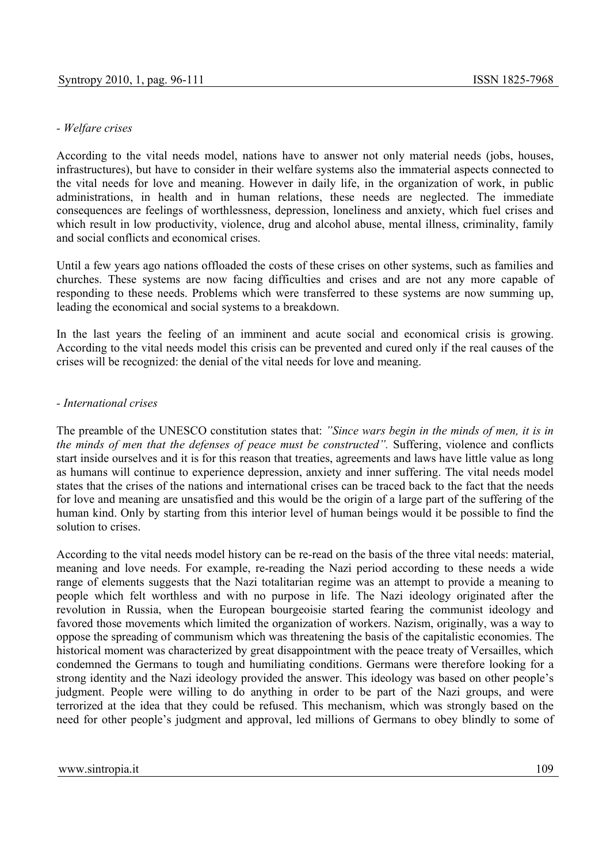# *- Welfare crises*

According to the vital needs model, nations have to answer not only material needs (jobs, houses, infrastructures), but have to consider in their welfare systems also the immaterial aspects connected to the vital needs for love and meaning. However in daily life, in the organization of work, in public administrations, in health and in human relations, these needs are neglected. The immediate consequences are feelings of worthlessness, depression, loneliness and anxiety, which fuel crises and which result in low productivity, violence, drug and alcohol abuse, mental illness, criminality, family and social conflicts and economical crises.

Until a few years ago nations offloaded the costs of these crises on other systems, such as families and churches. These systems are now facing difficulties and crises and are not any more capable of responding to these needs. Problems which were transferred to these systems are now summing up, leading the economical and social systems to a breakdown.

In the last years the feeling of an imminent and acute social and economical crisis is growing. According to the vital needs model this crisis can be prevented and cured only if the real causes of the crises will be recognized: the denial of the vital needs for love and meaning.

## *- International crises*

The preamble of the UNESCO constitution states that: *"Since wars begin in the minds of men, it is in the minds of men that the defenses of peace must be constructed".* Suffering, violence and conflicts start inside ourselves and it is for this reason that treaties, agreements and laws have little value as long as humans will continue to experience depression, anxiety and inner suffering. The vital needs model states that the crises of the nations and international crises can be traced back to the fact that the needs for love and meaning are unsatisfied and this would be the origin of a large part of the suffering of the human kind. Only by starting from this interior level of human beings would it be possible to find the solution to crises.

According to the vital needs model history can be re-read on the basis of the three vital needs: material, meaning and love needs. For example, re-reading the Nazi period according to these needs a wide range of elements suggests that the Nazi totalitarian regime was an attempt to provide a meaning to people which felt worthless and with no purpose in life. The Nazi ideology originated after the revolution in Russia, when the European bourgeoisie started fearing the communist ideology and favored those movements which limited the organization of workers. Nazism, originally, was a way to oppose the spreading of communism which was threatening the basis of the capitalistic economies. The historical moment was characterized by great disappointment with the peace treaty of Versailles, which condemned the Germans to tough and humiliating conditions. Germans were therefore looking for a strong identity and the Nazi ideology provided the answer. This ideology was based on other people's judgment. People were willing to do anything in order to be part of the Nazi groups, and were terrorized at the idea that they could be refused. This mechanism, which was strongly based on the need for other people's judgment and approval, led millions of Germans to obey blindly to some of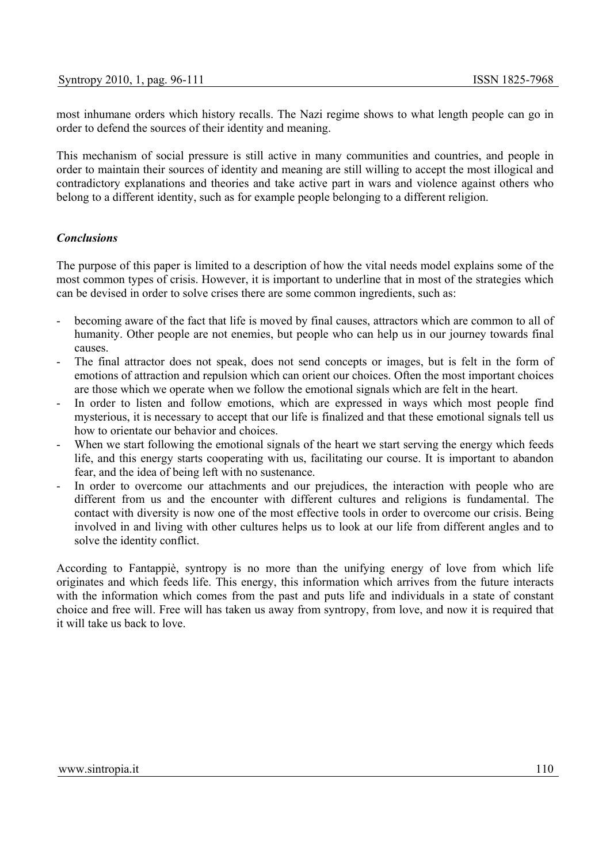most inhumane orders which history recalls. The Nazi regime shows to what length people can go in order to defend the sources of their identity and meaning.

This mechanism of social pressure is still active in many communities and countries, and people in order to maintain their sources of identity and meaning are still willing to accept the most illogical and contradictory explanations and theories and take active part in wars and violence against others who belong to a different identity, such as for example people belonging to a different religion.

## *Conclusions*

The purpose of this paper is limited to a description of how the vital needs model explains some of the most common types of crisis. However, it is important to underline that in most of the strategies which can be devised in order to solve crises there are some common ingredients, such as:

- becoming aware of the fact that life is moved by final causes, attractors which are common to all of humanity. Other people are not enemies, but people who can help us in our journey towards final causes.
- The final attractor does not speak, does not send concepts or images, but is felt in the form of emotions of attraction and repulsion which can orient our choices. Often the most important choices are those which we operate when we follow the emotional signals which are felt in the heart.
- In order to listen and follow emotions, which are expressed in ways which most people find mysterious, it is necessary to accept that our life is finalized and that these emotional signals tell us how to orientate our behavior and choices.
- When we start following the emotional signals of the heart we start serving the energy which feeds life, and this energy starts cooperating with us, facilitating our course. It is important to abandon fear, and the idea of being left with no sustenance.
- In order to overcome our attachments and our prejudices, the interaction with people who are different from us and the encounter with different cultures and religions is fundamental. The contact with diversity is now one of the most effective tools in order to overcome our crisis. Being involved in and living with other cultures helps us to look at our life from different angles and to solve the identity conflict.

According to Fantappiè, syntropy is no more than the unifying energy of love from which life originates and which feeds life. This energy, this information which arrives from the future interacts with the information which comes from the past and puts life and individuals in a state of constant choice and free will. Free will has taken us away from syntropy, from love, and now it is required that it will take us back to love.